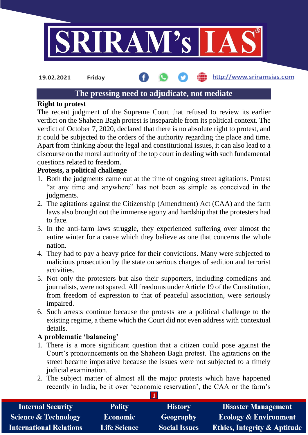

http://www.sriramsias.com **19.02.2021 Friday**

# **The pressing need to adjudicate, not mediate**

### **Right to protest**

The recent judgment of the Supreme Court that refused to review its earlier verdict on the Shaheen Bagh protest is inseparable from its political context. The verdict of October 7, 2020, declared that there is no absolute right to protest, and it could be subjected to the orders of the authority regarding the place and time. Apart from thinking about the legal and constitutional issues, it can also lead to a discourse on the moral authority of the top court in dealing with such fundamental questions related to freedom.

# **Protests, a political challenge**

- 1. Both the judgments came out at the time of ongoing street agitations. Protest "at any time and anywhere" has not been as simple as conceived in the judgments.
- 2. The agitations against the Citizenship (Amendment) Act (CAA) and the farm laws also brought out the immense agony and hardship that the protesters had to face.
- 3. In the anti-farm laws struggle, they experienced suffering over almost the entire winter for a cause which they believe as one that concerns the whole nation.
- 4. They had to pay a heavy price for their convictions. Many were subjected to malicious prosecution by the state on serious charges of sedition and terrorist activities.
- 5. Not only the protesters but also their supporters, including comedians and journalists, were not spared. All freedoms under Article 19 of the Constitution, from freedom of expression to that of peaceful association, were seriously impaired.
- 6. Such arrests continue because the protests are a political challenge to the existing regime, a theme which the Court did not even address with contextual details.

# **A problematic 'balancing'**

- 1. There is a more significant question that a citizen could pose against the Court's pronouncements on the Shaheen Bagh protest. The agitations on the street became imperative because the issues were not subjected to a timely judicial examination.
- 2. The subject matter of almost all the major protests which have happened recently in India, be it over 'economic reservation', the CAA or the farm's

| <b>Internal Security</b>        | <b>Polity</b>       | <b>History</b>       | <b>Disaster Management</b>              |  |  |
|---------------------------------|---------------------|----------------------|-----------------------------------------|--|--|
| <b>Science &amp; Technology</b> | <b>Economic</b>     | <b>Geography</b>     | <b>Ecology &amp; Environment</b>        |  |  |
| <b>International Relations</b>  | <b>Life Science</b> | <b>Social Issues</b> | <b>Ethics, Integrity &amp; Aptitude</b> |  |  |